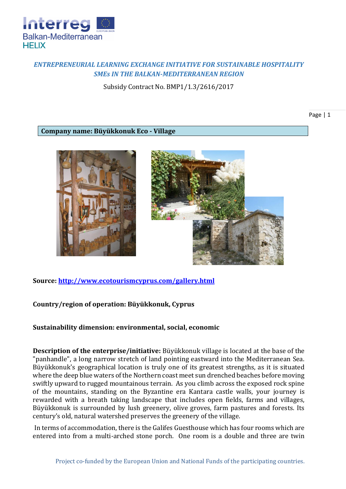

## *ENTREPRENEURIAL LEARNING EXCHANGE INITIATIVE FOR SUSTAINABLE HOSPITALITY SMEs IN THE BALKAN-MEDITERRANEAN REGION*

Subsidy Contract No. BMP1/1.3/2616/2017

Page | 1

**Company name: Büyükkonuk Eco - Village**





**Source:<http://www.ecotourismcyprus.com/gallery.html>**

**Country/region of operation: Büyükkonuk, Cyprus**

**Sustainability dimension: environmental, social, economic**

**Description of the enterprise/initiative:** Büyükkonuk village is located at the base of the "panhandle", a long narrow stretch of land pointing eastward into the Mediterranean Sea. Büyükkonuk's geographical location is truly one of its greatest strengths, as it is situated where the deep blue waters of the Northern coast meet sun drenched beaches before moving swiftly upward to rugged mountainous terrain. As you climb across the exposed rock spine of the mountains, standing on the Byzantine era Kantara castle walls, your journey is rewarded with a breath taking landscape that includes open fields, farms and villages, Büyükkonuk is surrounded by lush greenery, olive groves, farm pastures and forests. Its century's old, natural watershed preserves the greenery of the village.

In terms of accommodation, there is the Galifes Guesthouse which has four rooms which are entered into from a multi-arched stone porch. One room is a double and three are twin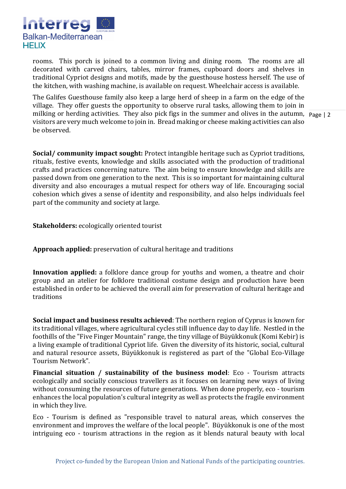

rooms. This porch is joined to a common living and dining room. The rooms are all decorated with carved chairs, tables, mirror frames, cupboard doors and shelves in traditional Cypriot designs and motifs, made by the guesthouse hostess herself. The use of the kitchen, with washing machine, is available on request. Wheelchair access is available.

milking or herding activities. They also pick figs in the summer and olives in the autumn, Page | 2 The Galifes Guesthouse family also keep a large herd of sheep in a farm on the edge of the village. They offer guests the opportunity to observe rural tasks, allowing them to join in visitors are very much welcome to join in. Bread making or cheese making activities can also be observed.

**Social/ community impact sought:** Protect intangible heritage such as Cypriot traditions, rituals, festive events, knowledge and skills associated with the production of traditional crafts and practices concerning nature. The aim being to ensure knowledge and skills are passed down from one generation to the next. This is so important for maintaining cultural diversity and also encourages a mutual respect for others way of life. Encouraging social cohesion which gives a sense of identity and responsibility, and also helps individuals feel part of the community and society at large.

**Stakeholders:** ecologically oriented tourist

**Approach applied:** preservation of cultural heritage and traditions

**Innovation applied:** a folklore dance group for youths and women, a theatre and choir group and an atelier for folklore traditional costume design and production have been established in order to be achieved the overall aim for preservation of cultural heritage and traditions

**Social impact and business results achieved**: The northern region of Cyprus is known for its traditional villages, where agricultural cycles still influence day to day life. Nestled in the foothills of the "Five Finger Mountain" range, the tiny village of Büyükkonuk (Komi Kebir) is a living example of traditional Cypriot life. Given the diversity of its historic, social, cultural and natural resource assets, Büyükkonuk is registered as part of the "Global Eco-Village Tourism Network".

**Financial situation / sustainability of the business model**: Eco - Tourism attracts ecologically and socially conscious travellers as it focuses on learning new ways of living without consuming the resources of future generations. When done properly, eco - tourism enhances the local population's cultural integrity as well as protects the fragile environment in which they live.

Eco - Tourism is defined as "responsible travel to natural areas, which conserves the environment and improves the welfare of the local people". Büyükkonuk is one of the most intriguing eco - tourism attractions in the region as it blends natural beauty with local